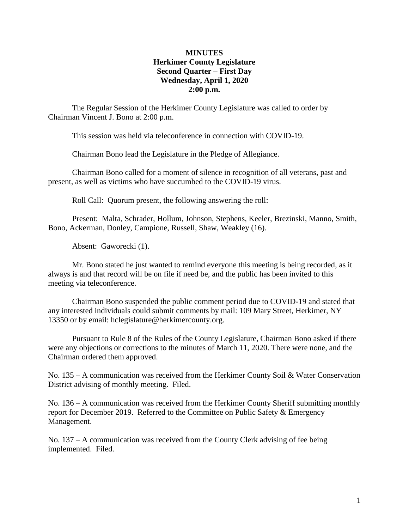## **MINUTES Herkimer County Legislature Second Quarter – First Day Wednesday, April 1, 2020 2:00 p.m.**

The Regular Session of the Herkimer County Legislature was called to order by Chairman Vincent J. Bono at 2:00 p.m.

This session was held via teleconference in connection with COVID-19.

Chairman Bono lead the Legislature in the Pledge of Allegiance.

Chairman Bono called for a moment of silence in recognition of all veterans, past and present, as well as victims who have succumbed to the COVID-19 virus.

Roll Call: Quorum present, the following answering the roll:

Present: Malta, Schrader, Hollum, Johnson, Stephens, Keeler, Brezinski, Manno, Smith, Bono, Ackerman, Donley, Campione, Russell, Shaw, Weakley (16).

Absent: Gaworecki (1).

Mr. Bono stated he just wanted to remind everyone this meeting is being recorded, as it always is and that record will be on file if need be, and the public has been invited to this meeting via teleconference.

Chairman Bono suspended the public comment period due to COVID-19 and stated that any interested individuals could submit comments by mail: 109 Mary Street, Herkimer, NY 13350 or by email: hclegislature@herkimercounty.org.

Pursuant to Rule 8 of the Rules of the County Legislature, Chairman Bono asked if there were any objections or corrections to the minutes of March 11, 2020. There were none, and the Chairman ordered them approved.

No. 135 – A communication was received from the Herkimer County Soil & Water Conservation District advising of monthly meeting. Filed.

No. 136 – A communication was received from the Herkimer County Sheriff submitting monthly report for December 2019. Referred to the Committee on Public Safety & Emergency Management.

No. 137 – A communication was received from the County Clerk advising of fee being implemented. Filed.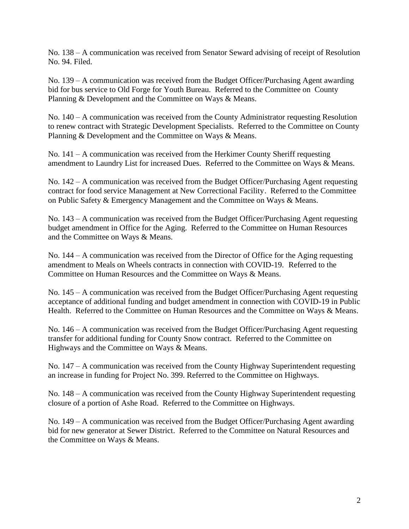No. 138 – A communication was received from Senator Seward advising of receipt of Resolution No. 94. Filed.

No. 139 – A communication was received from the Budget Officer/Purchasing Agent awarding bid for bus service to Old Forge for Youth Bureau. Referred to the Committee on County Planning & Development and the Committee on Ways & Means.

No. 140 – A communication was received from the County Administrator requesting Resolution to renew contract with Strategic Development Specialists. Referred to the Committee on County Planning & Development and the Committee on Ways & Means.

No. 141 – A communication was received from the Herkimer County Sheriff requesting amendment to Laundry List for increased Dues. Referred to the Committee on Ways & Means.

No. 142 – A communication was received from the Budget Officer/Purchasing Agent requesting contract for food service Management at New Correctional Facility. Referred to the Committee on Public Safety & Emergency Management and the Committee on Ways & Means.

No. 143 – A communication was received from the Budget Officer/Purchasing Agent requesting budget amendment in Office for the Aging. Referred to the Committee on Human Resources and the Committee on Ways & Means.

No. 144 – A communication was received from the Director of Office for the Aging requesting amendment to Meals on Wheels contracts in connection with COVID-19. Referred to the Committee on Human Resources and the Committee on Ways & Means.

No. 145 – A communication was received from the Budget Officer/Purchasing Agent requesting acceptance of additional funding and budget amendment in connection with COVID-19 in Public Health. Referred to the Committee on Human Resources and the Committee on Ways & Means.

No. 146 – A communication was received from the Budget Officer/Purchasing Agent requesting transfer for additional funding for County Snow contract. Referred to the Committee on Highways and the Committee on Ways & Means.

No. 147 – A communication was received from the County Highway Superintendent requesting an increase in funding for Project No. 399. Referred to the Committee on Highways.

No. 148 – A communication was received from the County Highway Superintendent requesting closure of a portion of Ashe Road. Referred to the Committee on Highways.

No. 149 – A communication was received from the Budget Officer/Purchasing Agent awarding bid for new generator at Sewer District. Referred to the Committee on Natural Resources and the Committee on Ways & Means.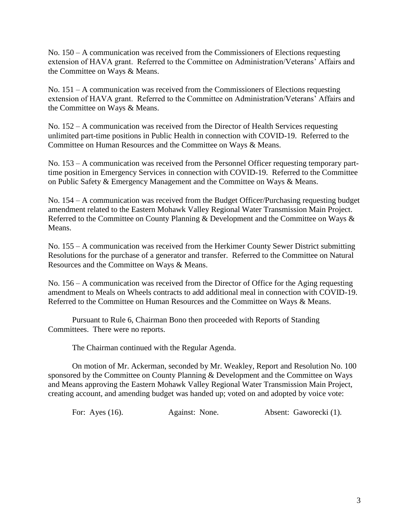No. 150 – A communication was received from the Commissioners of Elections requesting extension of HAVA grant. Referred to the Committee on Administration/Veterans' Affairs and the Committee on Ways & Means.

No. 151 – A communication was received from the Commissioners of Elections requesting extension of HAVA grant. Referred to the Committee on Administration/Veterans' Affairs and the Committee on Ways & Means.

No. 152 – A communication was received from the Director of Health Services requesting unlimited part-time positions in Public Health in connection with COVID-19. Referred to the Committee on Human Resources and the Committee on Ways & Means.

No. 153 – A communication was received from the Personnel Officer requesting temporary parttime position in Emergency Services in connection with COVID-19. Referred to the Committee on Public Safety & Emergency Management and the Committee on Ways & Means.

No. 154 – A communication was received from the Budget Officer/Purchasing requesting budget amendment related to the Eastern Mohawk Valley Regional Water Transmission Main Project. Referred to the Committee on County Planning & Development and the Committee on Ways & Means.

No. 155 – A communication was received from the Herkimer County Sewer District submitting Resolutions for the purchase of a generator and transfer. Referred to the Committee on Natural Resources and the Committee on Ways & Means.

No. 156 – A communication was received from the Director of Office for the Aging requesting amendment to Meals on Wheels contracts to add additional meal in connection with COVID-19. Referred to the Committee on Human Resources and the Committee on Ways & Means.

Pursuant to Rule 6, Chairman Bono then proceeded with Reports of Standing Committees. There were no reports.

The Chairman continued with the Regular Agenda.

On motion of Mr. Ackerman, seconded by Mr. Weakley, Report and Resolution No. 100 sponsored by the Committee on County Planning & Development and the Committee on Ways and Means approving the Eastern Mohawk Valley Regional Water Transmission Main Project, creating account, and amending budget was handed up; voted on and adopted by voice vote:

For: Ayes (16). Against: None. Absent: Gaworecki (1).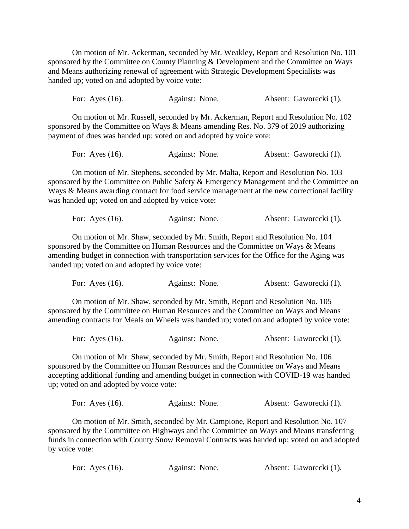On motion of Mr. Ackerman, seconded by Mr. Weakley, Report and Resolution No. 101 sponsored by the Committee on County Planning & Development and the Committee on Ways and Means authorizing renewal of agreement with Strategic Development Specialists was handed up; voted on and adopted by voice vote:

For: Ayes (16). Against: None. Absent: Gaworecki (1).

On motion of Mr. Russell, seconded by Mr. Ackerman, Report and Resolution No. 102 sponsored by the Committee on Ways & Means amending Res. No. 379 of 2019 authorizing payment of dues was handed up; voted on and adopted by voice vote:

For: Ayes (16). Against: None. Absent: Gaworecki (1).

On motion of Mr. Stephens, seconded by Mr. Malta, Report and Resolution No. 103 sponsored by the Committee on Public Safety & Emergency Management and the Committee on Ways & Means awarding contract for food service management at the new correctional facility was handed up; voted on and adopted by voice vote:

| For: Ayes $(16)$ . | Against: None. | Absent: Gaworecki (1). |  |
|--------------------|----------------|------------------------|--|
|                    |                |                        |  |

On motion of Mr. Shaw, seconded by Mr. Smith, Report and Resolution No. 104 sponsored by the Committee on Human Resources and the Committee on Ways & Means amending budget in connection with transportation services for the Office for the Aging was handed up; voted on and adopted by voice vote:

| For: Ayes $(16)$ . | Against: None. | Absent: Gaworecki (1). |  |
|--------------------|----------------|------------------------|--|
|                    |                |                        |  |

On motion of Mr. Shaw, seconded by Mr. Smith, Report and Resolution No. 105 sponsored by the Committee on Human Resources and the Committee on Ways and Means amending contracts for Meals on Wheels was handed up; voted on and adopted by voice vote:

| For: Ayes $(16)$ . | Against: None. | Absent: Gaworecki (1). |  |
|--------------------|----------------|------------------------|--|
|                    |                |                        |  |

On motion of Mr. Shaw, seconded by Mr. Smith, Report and Resolution No. 106 sponsored by the Committee on Human Resources and the Committee on Ways and Means accepting additional funding and amending budget in connection with COVID-19 was handed up; voted on and adopted by voice vote:

|  | For: Ayes $(16)$ . | Against: None. | Absent: Gaworecki (1). |  |
|--|--------------------|----------------|------------------------|--|
|--|--------------------|----------------|------------------------|--|

On motion of Mr. Smith, seconded by Mr. Campione, Report and Resolution No. 107 sponsored by the Committee on Highways and the Committee on Ways and Means transferring funds in connection with County Snow Removal Contracts was handed up; voted on and adopted by voice vote:

| For: Ayes $(16)$ . |  | Against: None. |  | Absent: Gaworecki (1). |
|--------------------|--|----------------|--|------------------------|
|--------------------|--|----------------|--|------------------------|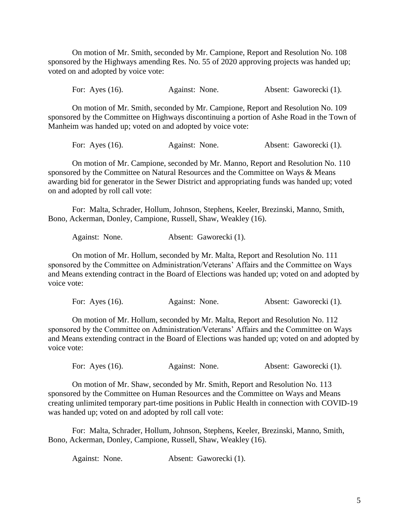On motion of Mr. Smith, seconded by Mr. Campione, Report and Resolution No. 108 sponsored by the Highways amending Res. No. 55 of 2020 approving projects was handed up; voted on and adopted by voice vote:

For: Ayes (16). Against: None. Absent: Gaworecki (1).

On motion of Mr. Smith, seconded by Mr. Campione, Report and Resolution No. 109 sponsored by the Committee on Highways discontinuing a portion of Ashe Road in the Town of Manheim was handed up; voted on and adopted by voice vote:

For: Ayes (16). Against: None. Absent: Gaworecki (1).

On motion of Mr. Campione, seconded by Mr. Manno, Report and Resolution No. 110 sponsored by the Committee on Natural Resources and the Committee on Ways & Means awarding bid for generator in the Sewer District and appropriating funds was handed up; voted on and adopted by roll call vote:

For: Malta, Schrader, Hollum, Johnson, Stephens, Keeler, Brezinski, Manno, Smith, Bono, Ackerman, Donley, Campione, Russell, Shaw, Weakley (16).

Against: None. Absent: Gaworecki (1).

On motion of Mr. Hollum, seconded by Mr. Malta, Report and Resolution No. 111 sponsored by the Committee on Administration/Veterans' Affairs and the Committee on Ways and Means extending contract in the Board of Elections was handed up; voted on and adopted by voice vote:

For: Ayes (16). Against: None. Absent: Gaworecki (1).

On motion of Mr. Hollum, seconded by Mr. Malta, Report and Resolution No. 112 sponsored by the Committee on Administration/Veterans' Affairs and the Committee on Ways and Means extending contract in the Board of Elections was handed up; voted on and adopted by voice vote:

For: Ayes (16). Against: None. Absent: Gaworecki (1).

On motion of Mr. Shaw, seconded by Mr. Smith, Report and Resolution No. 113 sponsored by the Committee on Human Resources and the Committee on Ways and Means creating unlimited temporary part-time positions in Public Health in connection with COVID-19 was handed up; voted on and adopted by roll call vote:

For: Malta, Schrader, Hollum, Johnson, Stephens, Keeler, Brezinski, Manno, Smith, Bono, Ackerman, Donley, Campione, Russell, Shaw, Weakley (16).

Against: None. Absent: Gaworecki (1).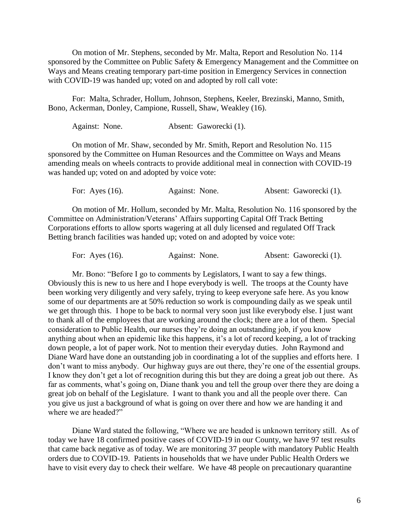On motion of Mr. Stephens, seconded by Mr. Malta, Report and Resolution No. 114 sponsored by the Committee on Public Safety & Emergency Management and the Committee on Ways and Means creating temporary part-time position in Emergency Services in connection with COVID-19 was handed up; voted on and adopted by roll call vote:

For: Malta, Schrader, Hollum, Johnson, Stephens, Keeler, Brezinski, Manno, Smith, Bono, Ackerman, Donley, Campione, Russell, Shaw, Weakley (16).

Against: None. Absent: Gaworecki (1).

On motion of Mr. Shaw, seconded by Mr. Smith, Report and Resolution No. 115 sponsored by the Committee on Human Resources and the Committee on Ways and Means amending meals on wheels contracts to provide additional meal in connection with COVID-19 was handed up; voted on and adopted by voice vote:

For: Ayes (16). Against: None. Absent: Gaworecki (1).

On motion of Mr. Hollum, seconded by Mr. Malta, Resolution No. 116 sponsored by the Committee on Administration/Veterans' Affairs supporting Capital Off Track Betting Corporations efforts to allow sports wagering at all duly licensed and regulated Off Track Betting branch facilities was handed up; voted on and adopted by voice vote:

For: Ayes (16). Against: None. Absent: Gaworecki (1).

Mr. Bono: "Before I go to comments by Legislators, I want to say a few things. Obviously this is new to us here and I hope everybody is well. The troops at the County have been working very diligently and very safely, trying to keep everyone safe here. As you know some of our departments are at 50% reduction so work is compounding daily as we speak until we get through this. I hope to be back to normal very soon just like everybody else. I just want to thank all of the employees that are working around the clock; there are a lot of them. Special consideration to Public Health, our nurses they're doing an outstanding job, if you know anything about when an epidemic like this happens, it's a lot of record keeping, a lot of tracking down people, a lot of paper work. Not to mention their everyday duties. John Raymond and Diane Ward have done an outstanding job in coordinating a lot of the supplies and efforts here. I don't want to miss anybody. Our highway guys are out there, they're one of the essential groups. I know they don't get a lot of recognition during this but they are doing a great job out there. As far as comments, what's going on, Diane thank you and tell the group over there they are doing a great job on behalf of the Legislature. I want to thank you and all the people over there. Can you give us just a background of what is going on over there and how we are handing it and where we are headed?"

Diane Ward stated the following, "Where we are headed is unknown territory still. As of today we have 18 confirmed positive cases of COVID-19 in our County, we have 97 test results that came back negative as of today. We are monitoring 37 people with mandatory Public Health orders due to COVID-19. Patients in households that we have under Public Health Orders we have to visit every day to check their welfare. We have 48 people on precautionary quarantine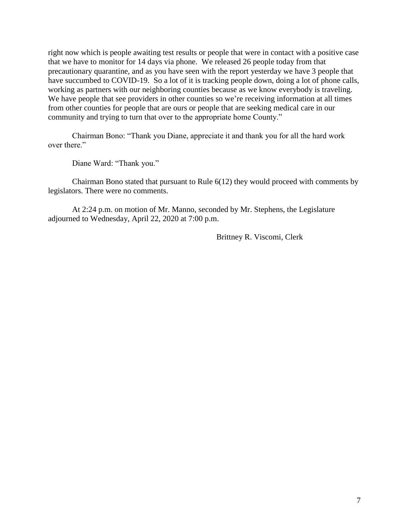right now which is people awaiting test results or people that were in contact with a positive case that we have to monitor for 14 days via phone. We released 26 people today from that precautionary quarantine, and as you have seen with the report yesterday we have 3 people that have succumbed to COVID-19. So a lot of it is tracking people down, doing a lot of phone calls, working as partners with our neighboring counties because as we know everybody is traveling. We have people that see providers in other counties so we're receiving information at all times from other counties for people that are ours or people that are seeking medical care in our community and trying to turn that over to the appropriate home County."

Chairman Bono: "Thank you Diane, appreciate it and thank you for all the hard work over there."

Diane Ward: "Thank you."

Chairman Bono stated that pursuant to Rule 6(12) they would proceed with comments by legislators. There were no comments.

At 2:24 p.m. on motion of Mr. Manno, seconded by Mr. Stephens, the Legislature adjourned to Wednesday, April 22, 2020 at 7:00 p.m.

Brittney R. Viscomi, Clerk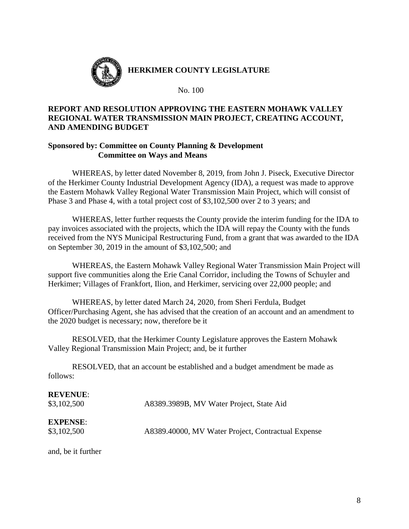

**HERKIMER COUNTY LEGISLATURE**

No. 100

# **REPORT AND RESOLUTION APPROVING THE EASTERN MOHAWK VALLEY REGIONAL WATER TRANSMISSION MAIN PROJECT, CREATING ACCOUNT, AND AMENDING BUDGET**

## **Sponsored by: Committee on County Planning & Development Committee on Ways and Means**

WHEREAS, by letter dated November 8, 2019, from John J. Piseck, Executive Director of the Herkimer County Industrial Development Agency (IDA), a request was made to approve the Eastern Mohawk Valley Regional Water Transmission Main Project, which will consist of Phase 3 and Phase 4, with a total project cost of \$3,102,500 over 2 to 3 years; and

WHEREAS, letter further requests the County provide the interim funding for the IDA to pay invoices associated with the projects, which the IDA will repay the County with the funds received from the NYS Municipal Restructuring Fund, from a grant that was awarded to the IDA on September 30, 2019 in the amount of \$3,102,500; and

WHEREAS, the Eastern Mohawk Valley Regional Water Transmission Main Project will support five communities along the Erie Canal Corridor, including the Towns of Schuyler and Herkimer; Villages of Frankfort, Ilion, and Herkimer, servicing over 22,000 people; and

WHEREAS, by letter dated March 24, 2020, from Sheri Ferdula, Budget Officer/Purchasing Agent, she has advised that the creation of an account and an amendment to the 2020 budget is necessary; now, therefore be it

RESOLVED, that the Herkimer County Legislature approves the Eastern Mohawk Valley Regional Transmission Main Project; and, be it further

RESOLVED, that an account be established and a budget amendment be made as follows:

| <b>REVENUE:</b><br>\$3,102,500 | A8389.3989B, MV Water Project, State Aid           |
|--------------------------------|----------------------------------------------------|
| <b>EXPENSE:</b><br>\$3,102,500 | A8389.40000, MV Water Project, Contractual Expense |

and, be it further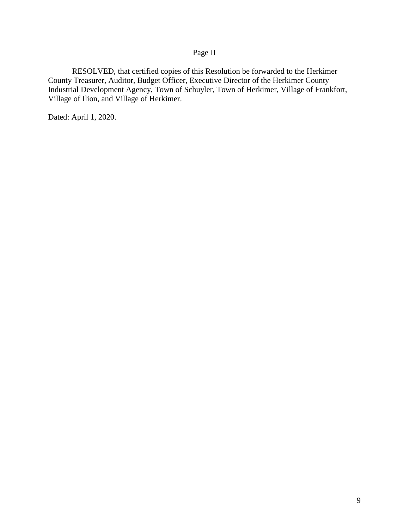# Page II

RESOLVED, that certified copies of this Resolution be forwarded to the Herkimer County Treasurer, Auditor, Budget Officer, Executive Director of the Herkimer County Industrial Development Agency, Town of Schuyler, Town of Herkimer, Village of Frankfort, Village of Ilion, and Village of Herkimer.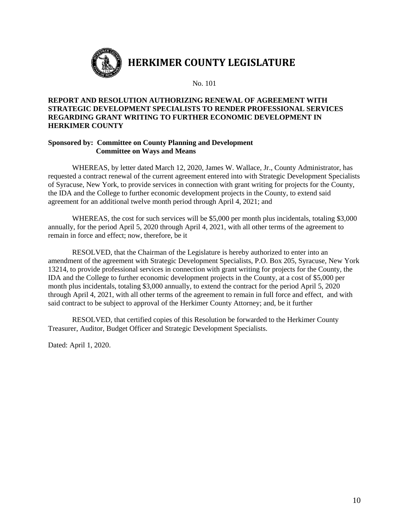

### **REPORT AND RESOLUTION AUTHORIZING RENEWAL OF AGREEMENT WITH STRATEGIC DEVELOPMENT SPECIALISTS TO RENDER PROFESSIONAL SERVICES REGARDING GRANT WRITING TO FURTHER ECONOMIC DEVELOPMENT IN HERKIMER COUNTY**

#### **Sponsored by: Committee on County Planning and Development Committee on Ways and Means**

WHEREAS, by letter dated March 12, 2020, James W. Wallace, Jr., County Administrator, has requested a contract renewal of the current agreement entered into with Strategic Development Specialists of Syracuse, New York, to provide services in connection with grant writing for projects for the County, the IDA and the College to further economic development projects in the County, to extend said agreement for an additional twelve month period through April 4, 2021; and

WHEREAS, the cost for such services will be \$5,000 per month plus incidentals, totaling \$3,000 annually, for the period April 5, 2020 through April 4, 2021, with all other terms of the agreement to remain in force and effect; now, therefore, be it

RESOLVED, that the Chairman of the Legislature is hereby authorized to enter into an amendment of the agreement with Strategic Development Specialists, P.O. Box 205, Syracuse, New York 13214, to provide professional services in connection with grant writing for projects for the County, the IDA and the College to further economic development projects in the County, at a cost of \$5,000 per month plus incidentals, totaling \$3,000 annually, to extend the contract for the period April 5, 2020 through April 4, 2021, with all other terms of the agreement to remain in full force and effect, and with said contract to be subject to approval of the Herkimer County Attorney; and, be it further

RESOLVED, that certified copies of this Resolution be forwarded to the Herkimer County Treasurer, Auditor, Budget Officer and Strategic Development Specialists.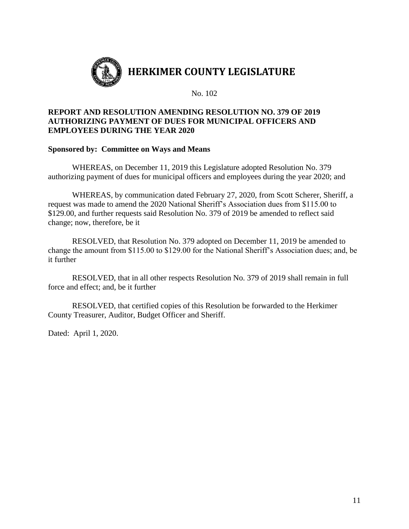

# **REPORT AND RESOLUTION AMENDING RESOLUTION NO. 379 OF 2019 AUTHORIZING PAYMENT OF DUES FOR MUNICIPAL OFFICERS AND EMPLOYEES DURING THE YEAR 2020**

## **Sponsored by: Committee on Ways and Means**

WHEREAS, on December 11, 2019 this Legislature adopted Resolution No. 379 authorizing payment of dues for municipal officers and employees during the year 2020; and

WHEREAS, by communication dated February 27, 2020, from Scott Scherer, Sheriff, a request was made to amend the 2020 National Sheriff's Association dues from \$115.00 to \$129.00, and further requests said Resolution No. 379 of 2019 be amended to reflect said change; now, therefore, be it

RESOLVED, that Resolution No. 379 adopted on December 11, 2019 be amended to change the amount from \$115.00 to \$129.00 for the National Sheriff's Association dues; and, be it further

RESOLVED, that in all other respects Resolution No. 379 of 2019 shall remain in full force and effect; and, be it further

RESOLVED, that certified copies of this Resolution be forwarded to the Herkimer County Treasurer, Auditor, Budget Officer and Sheriff.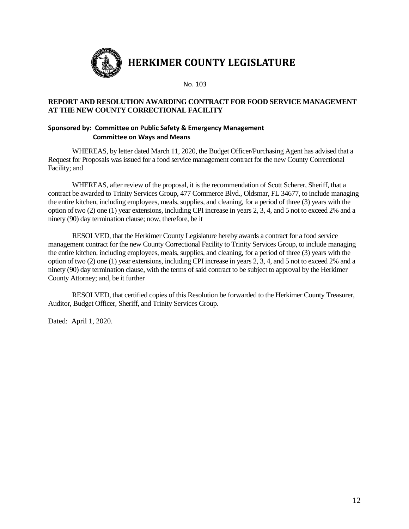

## **REPORT AND RESOLUTION AWARDING CONTRACT FOR FOOD SERVICE MANAGEMENT AT THE NEW COUNTY CORRECTIONAL FACILITY**

### **Sponsored by: Committee on Public Safety & Emergency Management Committee on Ways and Means**

WHEREAS, by letter dated March 11, 2020, the Budget Officer/Purchasing Agent has advised that a Request for Proposals was issued for a food service management contract for the new County Correctional Facility; and

WHEREAS, after review of the proposal, it is the recommendation of Scott Scherer, Sheriff, that a contract be awarded to Trinity Services Group, 477 Commerce Blvd., Oldsmar, FL 34677, to include managing the entire kitchen, including employees, meals, supplies, and cleaning, for a period of three (3) years with the option of two (2) one (1) year extensions, including CPI increase in years 2, 3, 4, and 5 not to exceed 2% and a ninety (90) day termination clause; now, therefore, be it

RESOLVED, that the Herkimer County Legislature hereby awards a contract for a food service management contract for the new County Correctional Facility to Trinity Services Group, to include managing the entire kitchen, including employees, meals, supplies, and cleaning, for a period of three (3) years with the option of two (2) one (1) year extensions, including CPI increase in years 2, 3, 4, and 5 not to exceed 2% and a ninety (90) day termination clause, with the terms of said contract to be subject to approval by the Herkimer County Attorney; and, be it further

RESOLVED, that certified copies of this Resolution be forwarded to the Herkimer County Treasurer, Auditor, Budget Officer, Sheriff, and Trinity Services Group.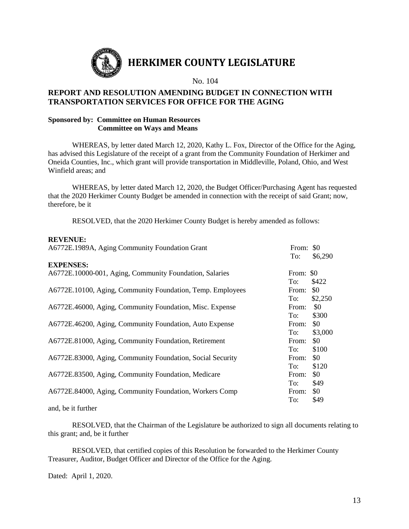

# **REPORT AND RESOLUTION AMENDING BUDGET IN CONNECTION WITH TRANSPORTATION SERVICES FOR OFFICE FOR THE AGING**

### **Sponsored by: Committee on Human Resources Committee on Ways and Means**

WHEREAS, by letter dated March 12, 2020, Kathy L. Fox, Director of the Office for the Aging, has advised this Legislature of the receipt of a grant from the Community Foundation of Herkimer and Oneida Counties, Inc., which grant will provide transportation in Middleville, Poland, Ohio, and West Winfield areas; and

WHEREAS, by letter dated March 12, 2020, the Budget Officer/Purchasing Agent has requested that the 2020 Herkimer County Budget be amended in connection with the receipt of said Grant; now, therefore, be it

RESOLVED, that the 2020 Herkimer County Budget is hereby amended as follows:

#### **REVENUE:**

| A6772E.1989A, Aging Community Foundation Grant             | From: \$0<br>To: | \$6,290 |
|------------------------------------------------------------|------------------|---------|
| <b>EXPENSES:</b>                                           |                  |         |
| A6772E.10000-001, Aging, Community Foundation, Salaries    | From: \$0        |         |
|                                                            | To:              | \$422   |
| A6772E.10100, Aging, Community Foundation, Temp. Employees | From:            | \$0     |
|                                                            | To:              | \$2,250 |
| A6772E.46000, Aging, Community Foundation, Misc. Expense   | From:            | \$0     |
|                                                            | To:              | \$300   |
| A6772E.46200, Aging, Community Foundation, Auto Expense    | From:            | \$0     |
|                                                            | To:              | \$3,000 |
| A6772E.81000, Aging, Community Foundation, Retirement      | From:            | \$0     |
|                                                            | To:              | \$100   |
| A6772E.83000, Aging, Community Foundation, Social Security | From:            | \$0     |
|                                                            | To:              | \$120   |
| A6772E.83500, Aging, Community Foundation, Medicare        | From:            | \$0     |
|                                                            | To:              | \$49    |
| A6772E.84000, Aging, Community Foundation, Workers Comp    | From:            | \$0     |
|                                                            | To:              | \$49    |

and, be it further

RESOLVED, that the Chairman of the Legislature be authorized to sign all documents relating to this grant; and, be it further

RESOLVED, that certified copies of this Resolution be forwarded to the Herkimer County Treasurer, Auditor, Budget Officer and Director of the Office for the Aging.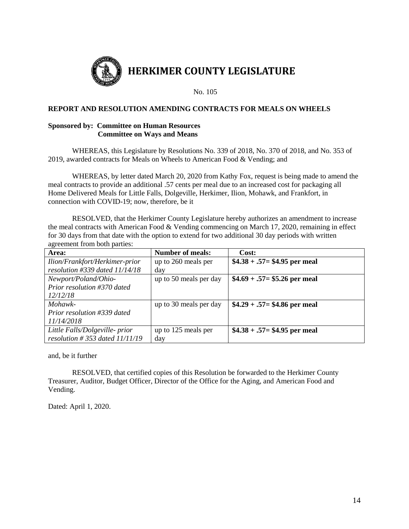

**HERKIMER COUNTY LEGISLATURE**

No. 105

#### **REPORT AND RESOLUTION AMENDING CONTRACTS FOR MEALS ON WHEELS**

#### **Sponsored by: Committee on Human Resources Committee on Ways and Means**

WHEREAS, this Legislature by Resolutions No. 339 of 2018, No. 370 of 2018, and No. 353 of 2019, awarded contracts for Meals on Wheels to American Food & Vending; and

WHEREAS, by letter dated March 20, 2020 from Kathy Fox, request is being made to amend the meal contracts to provide an additional .57 cents per meal due to an increased cost for packaging all Home Delivered Meals for Little Falls, Dolgeville, Herkimer, Ilion, Mohawk, and Frankfort, in connection with COVID-19; now, therefore, be it

RESOLVED, that the Herkimer County Legislature hereby authorizes an amendment to increase the meal contracts with American Food  $&$  Vending commencing on March 17, 2020, remaining in effect for 30 days from that date with the option to extend for two additional 30 day periods with written agreement from both parties:

| Area:                               | <b>Number of meals:</b> | Cost:                          |
|-------------------------------------|-------------------------|--------------------------------|
| Ilion/Frankfort/Herkimer-prior      | up to 260 meals per     | $$4.38 + .57 = $4.95$ per meal |
| resolution $\#339$ dated $11/14/18$ | day                     |                                |
| Newport/Poland/Ohio-                | up to 50 meals per day  | $$4.69 + .57 = $5.26$ per meal |
| Prior resolution #370 dated         |                         |                                |
| 12/12/18                            |                         |                                |
| Mohawk-                             | up to 30 meals per day  | $$4.29 + .57 = $4.86$ per meal |
| Prior resolution #339 dated         |                         |                                |
| 11/14/2018                          |                         |                                |
| Little Falls/Dolgeville- prior      | up to 125 meals per     | $$4.38 + .57 = $4.95$ per meal |
| resolution # 353 dated $11/11/19$   | day                     |                                |

and, be it further

RESOLVED, that certified copies of this Resolution be forwarded to the Herkimer County Treasurer, Auditor, Budget Officer, Director of the Office for the Aging, and American Food and Vending.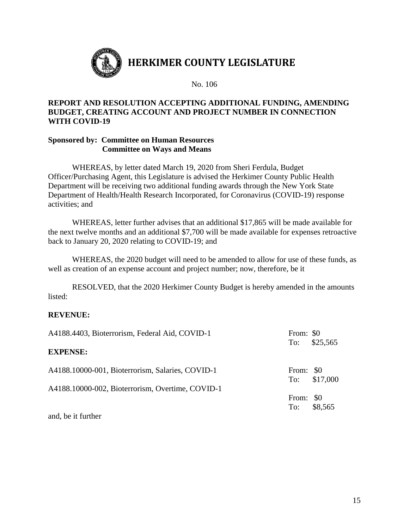

# **REPORT AND RESOLUTION ACCEPTING ADDITIONAL FUNDING, AMENDING BUDGET, CREATING ACCOUNT AND PROJECT NUMBER IN CONNECTION WITH COVID-19**

## **Sponsored by: Committee on Human Resources Committee on Ways and Means**

WHEREAS, by letter dated March 19, 2020 from Sheri Ferdula, Budget Officer/Purchasing Agent, this Legislature is advised the Herkimer County Public Health Department will be receiving two additional funding awards through the New York State Department of Health/Health Research Incorporated, for Coronavirus (COVID-19) response activities; and

WHEREAS, letter further advises that an additional \$17,865 will be made available for the next twelve months and an additional \$7,700 will be made available for expenses retroactive back to January 20, 2020 relating to COVID-19; and

WHEREAS, the 2020 budget will need to be amended to allow for use of these funds, as well as creation of an expense account and project number; now, therefore, be it

RESOLVED, that the 2020 Herkimer County Budget is hereby amended in the amounts listed:

# **REVENUE:**

| A4188.4403, Bioterrorism, Federal Aid, COVID-1   | From: \$0 |              |
|--------------------------------------------------|-----------|--------------|
| <b>EXPENSE:</b>                                  | To:       | \$25,565     |
| A4188.10000-001, Bioterrorism, Salaries, COVID-1 | From: \$0 | To: \$17,000 |
| A4188.10000-002, Bioterrorism, Overtime, COVID-1 |           |              |
|                                                  | From: \$0 |              |
|                                                  |           | To: \$8,565  |

and, be it further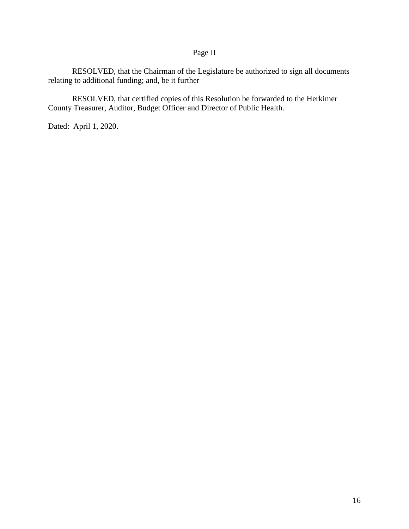# Page II

RESOLVED, that the Chairman of the Legislature be authorized to sign all documents relating to additional funding; and, be it further

RESOLVED, that certified copies of this Resolution be forwarded to the Herkimer County Treasurer, Auditor, Budget Officer and Director of Public Health.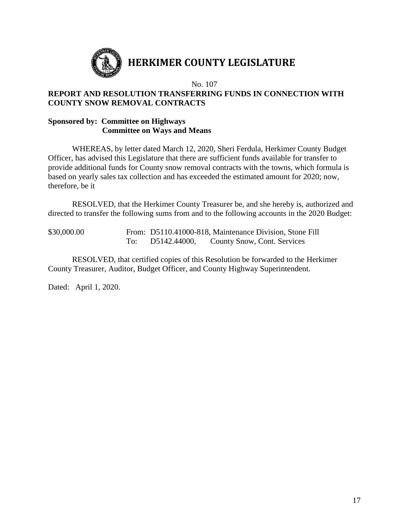

# **HERKIMER COUNTY LEGISLATURE**

No. 107

# **REPORT AND RESOLUTION TRANSFERRING FUNDS IN CONNECTION WITH COUNTY SNOW REMOVAL CONTRACTS**

## **Sponsored by: Committee on Highways Committee on Ways and Means**

WHEREAS, by letter dated March 12, 2020, Sheri Ferdula, Herkimer County Budget Officer, has advised this Legislature that there are sufficient funds available for transfer to provide additional funds for County snow removal contracts with the towns, which formula is based on yearly sales tax collection and has exceeded the estimated amount for 2020; now, therefore, be it

RESOLVED, that the Herkimer County Treasurer be, and she hereby is, authorized and directed to transfer the following sums from and to the following accounts in the 2020 Budget:

\$30,000.00 From: D5110.41000-818, Maintenance Division, Stone Fill To: D5142.44000, County Snow, Cont. Services

RESOLVED, that certified copies of this Resolution be forwarded to the Herkimer County Treasurer, Auditor, Budget Officer, and County Highway Superintendent.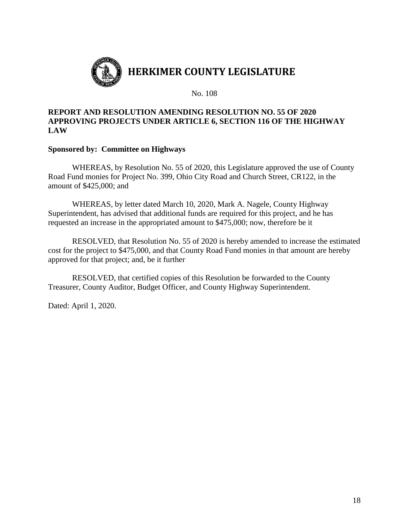

## **REPORT AND RESOLUTION AMENDING RESOLUTION NO. 55 OF 2020 APPROVING PROJECTS UNDER ARTICLE 6, SECTION 116 OF THE HIGHWAY LAW**

## **Sponsored by: Committee on Highways**

WHEREAS, by Resolution No. 55 of 2020, this Legislature approved the use of County Road Fund monies for Project No. 399, Ohio City Road and Church Street, CR122, in the amount of \$425,000; and

WHEREAS, by letter dated March 10, 2020, Mark A. Nagele, County Highway Superintendent, has advised that additional funds are required for this project, and he has requested an increase in the appropriated amount to \$475,000; now, therefore be it

RESOLVED, that Resolution No. 55 of 2020 is hereby amended to increase the estimated cost for the project to \$475,000, and that County Road Fund monies in that amount are hereby approved for that project; and, be it further

RESOLVED, that certified copies of this Resolution be forwarded to the County Treasurer, County Auditor, Budget Officer, and County Highway Superintendent.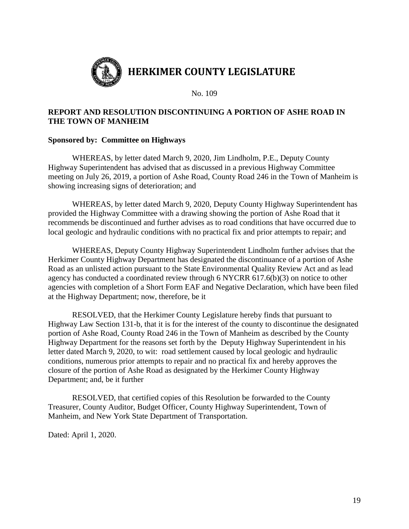

# **REPORT AND RESOLUTION DISCONTINUING A PORTION OF ASHE ROAD IN THE TOWN OF MANHEIM**

## **Sponsored by: Committee on Highways**

WHEREAS, by letter dated March 9, 2020, Jim Lindholm, P.E., Deputy County Highway Superintendent has advised that as discussed in a previous Highway Committee meeting on July 26, 2019, a portion of Ashe Road, County Road 246 in the Town of Manheim is showing increasing signs of deterioration; and

WHEREAS, by letter dated March 9, 2020, Deputy County Highway Superintendent has provided the Highway Committee with a drawing showing the portion of Ashe Road that it recommends be discontinued and further advises as to road conditions that have occurred due to local geologic and hydraulic conditions with no practical fix and prior attempts to repair; and

WHEREAS, Deputy County Highway Superintendent Lindholm further advises that the Herkimer County Highway Department has designated the discontinuance of a portion of Ashe Road as an unlisted action pursuant to the State Environmental Quality Review Act and as lead agency has conducted a coordinated review through 6 NYCRR 617.6(b)(3) on notice to other agencies with completion of a Short Form EAF and Negative Declaration, which have been filed at the Highway Department; now, therefore, be it

RESOLVED, that the Herkimer County Legislature hereby finds that pursuant to Highway Law Section 131-b, that it is for the interest of the county to discontinue the designated portion of Ashe Road, County Road 246 in the Town of Manheim as described by the County Highway Department for the reasons set forth by the Deputy Highway Superintendent in his letter dated March 9, 2020, to wit: road settlement caused by local geologic and hydraulic conditions, numerous prior attempts to repair and no practical fix and hereby approves the closure of the portion of Ashe Road as designated by the Herkimer County Highway Department; and, be it further

RESOLVED, that certified copies of this Resolution be forwarded to the County Treasurer, County Auditor, Budget Officer, County Highway Superintendent, Town of Manheim, and New York State Department of Transportation.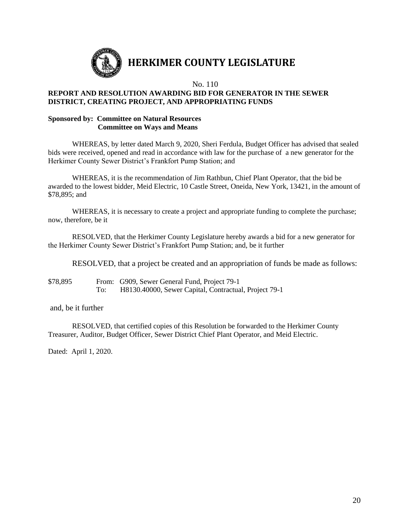

# **HERKIMER COUNTY LEGISLATURE**

No. 110

### **REPORT AND RESOLUTION AWARDING BID FOR GENERATOR IN THE SEWER DISTRICT, CREATING PROJECT, AND APPROPRIATING FUNDS**

#### **Sponsored by: Committee on Natural Resources Committee on Ways and Means**

WHEREAS, by letter dated March 9, 2020, Sheri Ferdula, Budget Officer has advised that sealed bids were received, opened and read in accordance with law for the purchase of a new generator for the Herkimer County Sewer District's Frankfort Pump Station; and

WHEREAS, it is the recommendation of Jim Rathbun, Chief Plant Operator, that the bid be awarded to the lowest bidder, Meid Electric, 10 Castle Street, Oneida, New York, 13421, in the amount of \$78,895; and

WHEREAS, it is necessary to create a project and appropriate funding to complete the purchase; now, therefore, be it

RESOLVED, that the Herkimer County Legislature hereby awards a bid for a new generator for the Herkimer County Sewer District's Frankfort Pump Station; and, be it further

RESOLVED, that a project be created and an appropriation of funds be made as follows:

\$78,895 From: G909, Sewer General Fund, Project 79-1 To: H8130.40000, Sewer Capital, Contractual, Project 79-1

and, be it further

RESOLVED, that certified copies of this Resolution be forwarded to the Herkimer County Treasurer, Auditor, Budget Officer, Sewer District Chief Plant Operator, and Meid Electric.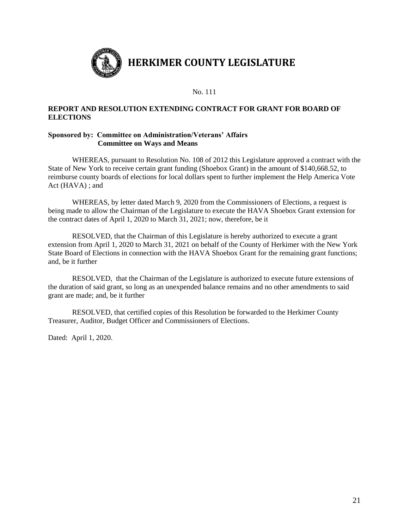

### **REPORT AND RESOLUTION EXTENDING CONTRACT FOR GRANT FOR BOARD OF ELECTIONS**

#### **Sponsored by: Committee on Administration/Veterans' Affairs Committee on Ways and Means**

WHEREAS, pursuant to Resolution No. 108 of 2012 this Legislature approved a contract with the State of New York to receive certain grant funding (Shoebox Grant) in the amount of \$140,668.52, to reimburse county boards of elections for local dollars spent to further implement the Help America Vote Act (HAVA) ; and

WHEREAS, by letter dated March 9, 2020 from the Commissioners of Elections, a request is being made to allow the Chairman of the Legislature to execute the HAVA Shoebox Grant extension for the contract dates of April 1, 2020 to March 31, 2021; now, therefore, be it

RESOLVED, that the Chairman of this Legislature is hereby authorized to execute a grant extension from April 1, 2020 to March 31, 2021 on behalf of the County of Herkimer with the New York State Board of Elections in connection with the HAVA Shoebox Grant for the remaining grant functions; and, be it further

RESOLVED, that the Chairman of the Legislature is authorized to execute future extensions of the duration of said grant, so long as an unexpended balance remains and no other amendments to said grant are made; and, be it further

RESOLVED, that certified copies of this Resolution be forwarded to the Herkimer County Treasurer, Auditor, Budget Officer and Commissioners of Elections.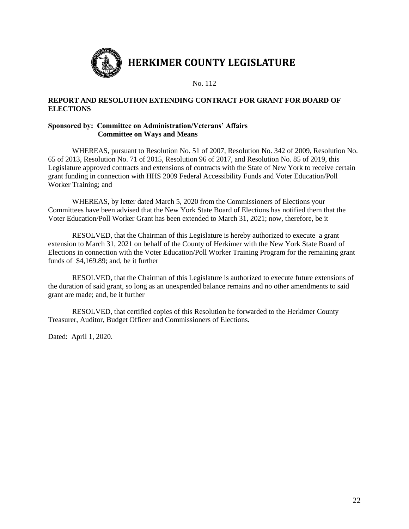

### **REPORT AND RESOLUTION EXTENDING CONTRACT FOR GRANT FOR BOARD OF ELECTIONS**

#### **Sponsored by: Committee on Administration/Veterans' Affairs Committee on Ways and Means**

WHEREAS, pursuant to Resolution No. 51 of 2007, Resolution No. 342 of 2009, Resolution No. 65 of 2013, Resolution No. 71 of 2015, Resolution 96 of 2017, and Resolution No. 85 of 2019, this Legislature approved contracts and extensions of contracts with the State of New York to receive certain grant funding in connection with HHS 2009 Federal Accessibility Funds and Voter Education/Poll Worker Training; and

WHEREAS, by letter dated March 5, 2020 from the Commissioners of Elections your Committees have been advised that the New York State Board of Elections has notified them that the Voter Education/Poll Worker Grant has been extended to March 31, 2021; now, therefore, be it

RESOLVED, that the Chairman of this Legislature is hereby authorized to execute a grant extension to March 31, 2021 on behalf of the County of Herkimer with the New York State Board of Elections in connection with the Voter Education/Poll Worker Training Program for the remaining grant funds of \$4,169.89; and, be it further

RESOLVED, that the Chairman of this Legislature is authorized to execute future extensions of the duration of said grant, so long as an unexpended balance remains and no other amendments to said grant are made; and, be it further

RESOLVED, that certified copies of this Resolution be forwarded to the Herkimer County Treasurer, Auditor, Budget Officer and Commissioners of Elections.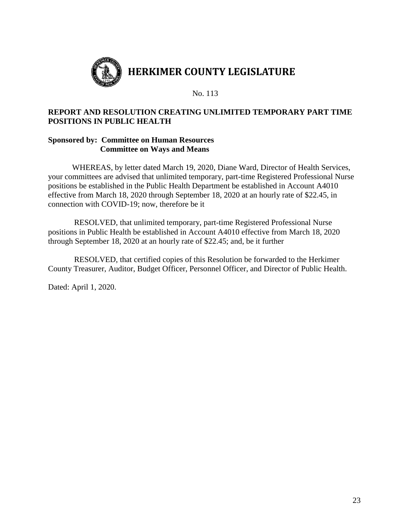

# **REPORT AND RESOLUTION CREATING UNLIMITED TEMPORARY PART TIME POSITIONS IN PUBLIC HEALTH**

## **Sponsored by: Committee on Human Resources Committee on Ways and Means**

WHEREAS, by letter dated March 19, 2020, Diane Ward, Director of Health Services, your committees are advised that unlimited temporary, part-time Registered Professional Nurse positions be established in the Public Health Department be established in Account A4010 effective from March 18, 2020 through September 18, 2020 at an hourly rate of \$22.45, in connection with COVID-19; now, therefore be it

RESOLVED, that unlimited temporary, part-time Registered Professional Nurse positions in Public Health be established in Account A4010 effective from March 18, 2020 through September 18, 2020 at an hourly rate of \$22.45; and, be it further

RESOLVED, that certified copies of this Resolution be forwarded to the Herkimer County Treasurer, Auditor, Budget Officer, Personnel Officer, and Director of Public Health.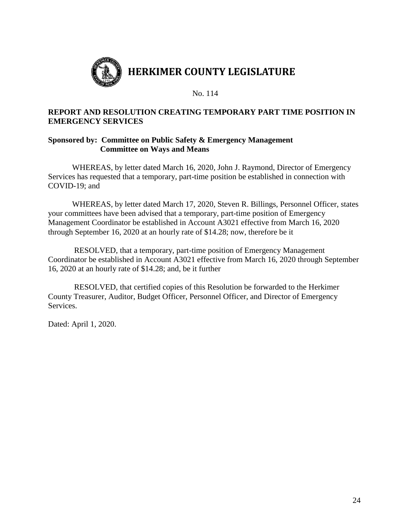

# **REPORT AND RESOLUTION CREATING TEMPORARY PART TIME POSITION IN EMERGENCY SERVICES**

## **Sponsored by: Committee on Public Safety & Emergency Management Committee on Ways and Means**

WHEREAS, by letter dated March 16, 2020, John J. Raymond, Director of Emergency Services has requested that a temporary, part-time position be established in connection with COVID-19; and

WHEREAS, by letter dated March 17, 2020, Steven R. Billings, Personnel Officer, states your committees have been advised that a temporary, part-time position of Emergency Management Coordinator be established in Account A3021 effective from March 16, 2020 through September 16, 2020 at an hourly rate of \$14.28; now, therefore be it

RESOLVED, that a temporary, part-time position of Emergency Management Coordinator be established in Account A3021 effective from March 16, 2020 through September 16, 2020 at an hourly rate of \$14.28; and, be it further

RESOLVED, that certified copies of this Resolution be forwarded to the Herkimer County Treasurer, Auditor, Budget Officer, Personnel Officer, and Director of Emergency **Services**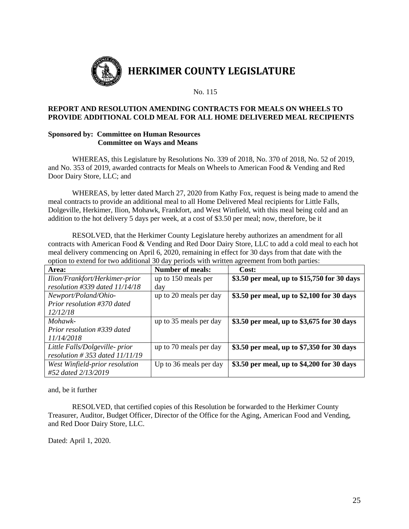

#### **REPORT AND RESOLUTION AMENDING CONTRACTS FOR MEALS ON WHEELS TO PROVIDE ADDITIONAL COLD MEAL FOR ALL HOME DELIVERED MEAL RECIPIENTS**

### **Sponsored by: Committee on Human Resources Committee on Ways and Means**

WHEREAS, this Legislature by Resolutions No. 339 of 2018, No. 370 of 2018, No. 52 of 2019, and No. 353 of 2019, awarded contracts for Meals on Wheels to American Food & Vending and Red Door Dairy Store, LLC; and

WHEREAS, by letter dated March 27, 2020 from Kathy Fox, request is being made to amend the meal contracts to provide an additional meal to all Home Delivered Meal recipients for Little Falls, Dolgeville, Herkimer, Ilion, Mohawk, Frankfort, and West Winfield, with this meal being cold and an addition to the hot delivery 5 days per week, at a cost of \$3.50 per meal; now, therefore, be it

RESOLVED, that the Herkimer County Legislature hereby authorizes an amendment for all contracts with American Food & Vending and Red Door Dairy Store, LLC to add a cold meal to each hot meal delivery commencing on April 6, 2020, remaining in effect for 30 days from that date with the option to extend for two additional 30 day periods with written agreement from both parties:

| Area:                              | <b>Number of meals:</b> | Cost:                                       |
|------------------------------------|-------------------------|---------------------------------------------|
| Ilion/Frankfort/Herkimer-prior     | up to 150 meals per     | \$3.50 per meal, up to \$15,750 for 30 days |
| resolution #339 dated $11/14/18$   | day                     |                                             |
| Newport/Poland/Ohio-               | up to 20 meals per day  | \$3.50 per meal, up to \$2,100 for 30 days  |
| Prior resolution #370 dated        |                         |                                             |
| 12/12/18                           |                         |                                             |
| Mohawk-                            | up to 35 meals per day  | \$3.50 per meal, up to \$3,675 for 30 days  |
| Prior resolution #339 dated        |                         |                                             |
| 11/14/2018                         |                         |                                             |
| Little Falls/Dolgeville- prior     | up to 70 meals per day  | \$3.50 per meal, up to \$7,350 for 30 days  |
| resolution $\#$ 353 dated 11/11/19 |                         |                                             |
| West Winfield-prior resolution     | Up to 36 meals per day  | \$3.50 per meal, up to \$4,200 for 30 days  |
| #52 dated 2/13/2019                |                         |                                             |

and, be it further

RESOLVED, that certified copies of this Resolution be forwarded to the Herkimer County Treasurer, Auditor, Budget Officer, Director of the Office for the Aging, American Food and Vending, and Red Door Dairy Store, LLC.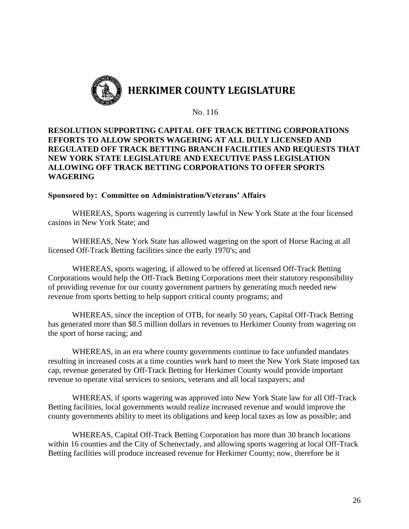

# **RESOLUTION SUPPORTING CAPITAL OFF TRACK BETTING CORPORATIONS EFFORTS TO ALLOW SPORTS WAGERING AT ALL DULY LICENSED AND REGULATED OFF TRACK BETTING BRANCH FACILITIES AND REQUESTS THAT NEW YORK STATE LEGISLATURE AND EXECUTIVE PASS LEGISLATION ALLOWING OFF TRACK BETTING CORPORATIONS TO OFFER SPORTS WAGERING**

## **Sponsored by: Committee on Administration/Veterans' Affairs**

WHEREAS, Sports wagering is currently lawful in New York State at the four licensed casinos in New York State; and

WHEREAS, New York State has allowed wagering on the sport of Horse Racing at all licensed Off-Track Betting facilities since the early 1970's; and

WHEREAS, sports wagering, if allowed to be offered at licensed Off-Track Betting Corporations would help the Off-Track Betting Corporations meet their statutory responsibility of providing revenue for our county government partners by generating much needed new revenue from sports betting to help support critical county programs; and

WHEREAS, since the inception of OTB, for nearly 50 years, Capital Off-Track Betting has generated more than \$8.5 million dollars in revenues to Herkimer County from wagering on the sport of horse racing; and

WHEREAS, in an era where county governments continue to face unfunded mandates resulting in increased costs at a time counties work hard to meet the New York State imposed tax cap, revenue generated by Off-Track Betting for Herkimer County would provide important revenue to operate vital services to seniors, veterans and all local taxpayers; and

WHEREAS, if sports wagering was approved into New York State law for all Off-Track Betting facilities, local governments would realize increased revenue and would improve the county governments ability to meet its obligations and keep local taxes as low as possible; and

WHEREAS, Capital Off-Track Betting Corporation has more than 30 branch locations within 16 counties and the City of Schenectady, and allowing sports wagering at local Off-Track Betting facilities will produce increased revenue for Herkimer County; now, therefore be it